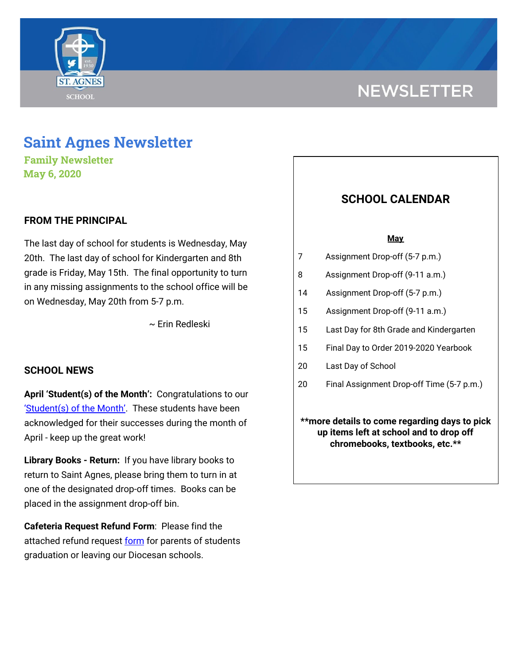

# **NEWSLETTER**

## **Saint Agnes Newsletter**

**Family Newsletter May 6, 2020**

## **FROM THE PRINCIPAL**

The last day of school for students is Wednesday, May 20th. The last day of school for Kindergarten and 8th grade is Friday, May 15th. The final opportunity to turn in any missing assignments to the school office will be on Wednesday, May 20th from 5-7 p.m.

~ Erin Redleski

## **SCHOOL NEWS**

**April 'Student(s) of the Month':** Congratulations to our '[Student\(s\)](https://drive.google.com/file/d/11P0QhRB62LuwWcQL0l2aBzuUrAuthISC/view?usp=sharing) of the Month'. These students have been acknowledged for their successes during the month of April - keep up the great work!

**Library Books - Return:** If you have library books to return to Saint Agnes, please bring them to turn in at one of the designated drop-off times. Books can be placed in the assignment drop-off bin.

**Cafeteria Request Refund Form**: Please find the attached refund request [form](https://drive.google.com/file/d/188gscNszvfzOP4-f9Qhc-Y-2ll7CQvi4/view?usp=sharing) for parents of students graduation or leaving our Diocesan schools.

## **SCHOOL CALENDAR**

### **May**

- 7 Assignment Drop-off (5-7 p.m.)
- 8 Assignment Drop-off (9-11 a.m.)
- 14 Assignment Drop-off (5-7 p.m.)
- 15 Assignment Drop-off (9-11 a.m.)
- 15 Last Day for 8th Grade and Kindergarten
- 15 Final Day to Order 2019-2020 Yearbook
- 20 Last Day of School
- 20 Final Assignment Drop-off Time (5-7 p.m.)

**\*\*more details to come regarding days to pick up items left at school and to drop off chromebooks, textbooks, etc.\*\***